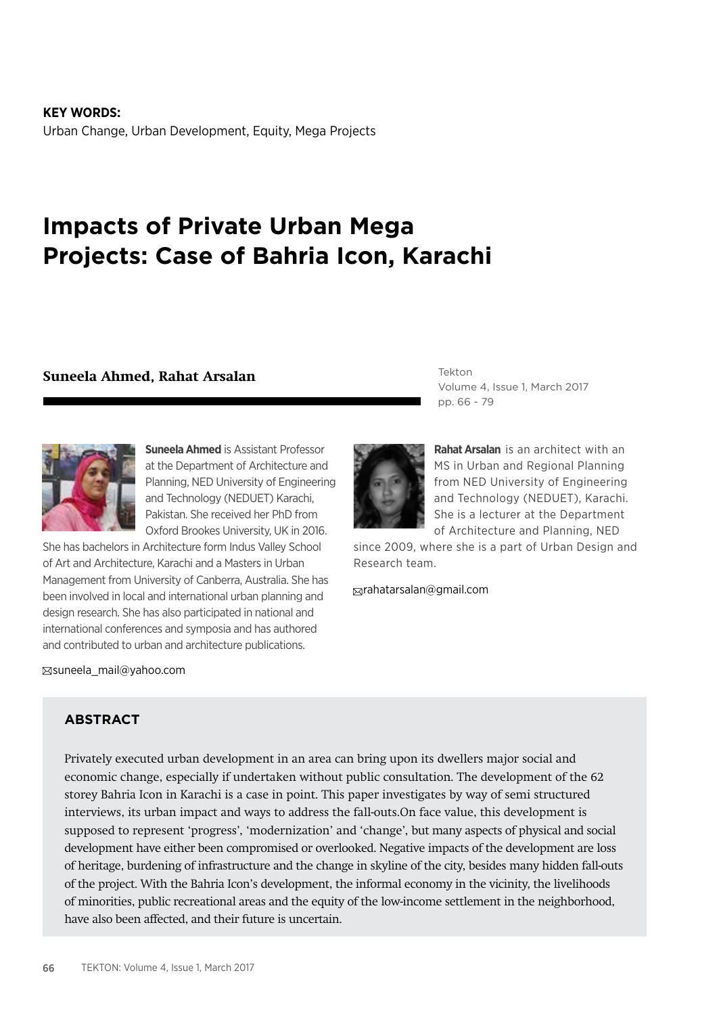**KEY WORDS:** Urban Change, Urban Development, Equity, Mega Projects

# **Impacts of Private Urban Mega Projects: Case of Bahria Icon, Karachi**

#### **Suneela Ahmed, Rahat Arsalan**



**Suneela Ahmed** is Assistant Professor at the Department of Architecture and Planning, NED University of Engineering and Technology (NEDUET) Karachi, Pakistan. She received her PhD from Oxford Brookes University, UK in 2016.

She has bachelors in Architecture form Indus Valley School of Art and Architecture, Karachi and a Masters in Urban Management from University of Canberra, Australia. She has been involved in local and international urban planning and design research. She has also participated in national and international conferences and symposia and has authored and contributed to urban and architecture publications.

suneela\_mail@yahoo.com

**Rahat Arsalan** is an architect with an MS in Urban and Regional Planning from NED University of Engineering and Technology (NEDUET), Karachi. She is a lecturer at the Department of Architecture and Planning, NED

Volume 4, Issue 1, March 2017

since 2009, where she is a part of Urban Design and Research team.

rahatarsalan@gmail.com

Tekton

pp. 66 - 79

### **ABSTRACT**

Privately executed urban development in an area can bring upon its dwellers major social and economic change, especially if undertaken without public consultation. The development of the 62 storey Bahria Icon in Karachi is a case in point. This paper investigates by way of semi structured interviews, its urban impact and ways to address the fall-outs.On face value, this development is supposed to represent 'progress', 'modernization' and 'change', but many aspects of physical and social development have either been compromised or overlooked. Negative impacts of the development are loss of heritage, burdening of infrastructure and the change in skyline of the city, besides many hidden fall-outs of the project. With the Bahria Icon's development, the informal economy in the vicinity, the livelihoods of minorities, public recreational areas and the equity of the low-income settlement in the neighborhood, have also been affected, and their future is uncertain.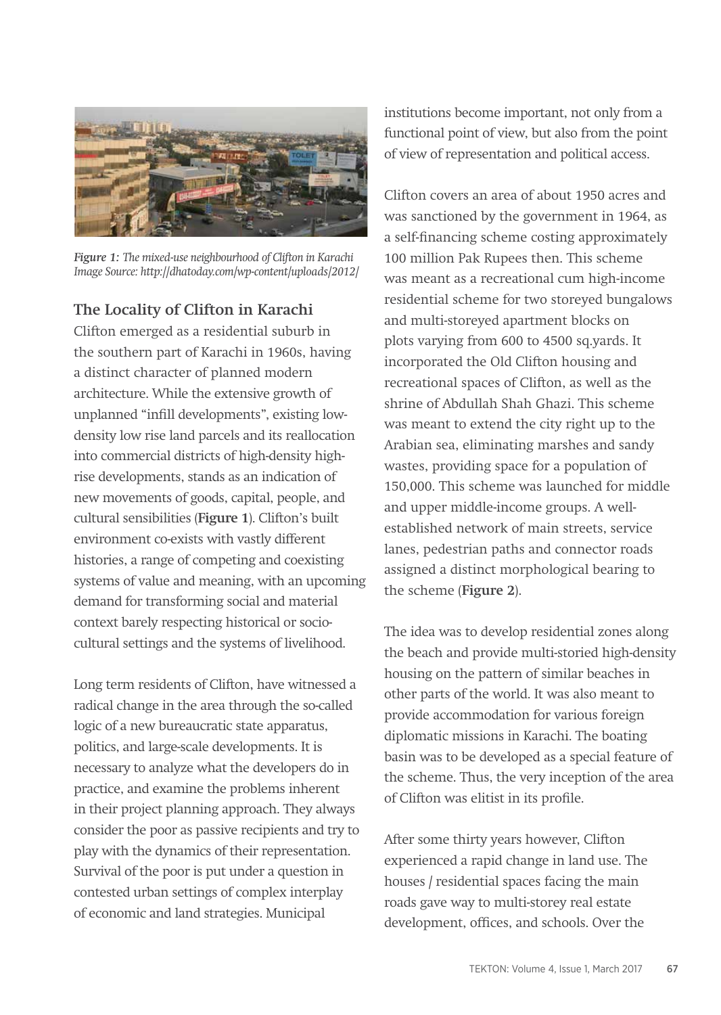

*Figure 1: The mixed-use neighbourhood of Clifton in Karachi Image Source: http://dhatoday.com/wp-content/uploads/2012/*

## **The Locality of Clifton in Karachi**

Clifton emerged as a residential suburb in the southern part of Karachi in 1960s, having a distinct character of planned modern architecture. While the extensive growth of unplanned "infill developments", existing lowdensity low rise land parcels and its reallocation into commercial districts of high-density highrise developments, stands as an indication of new movements of goods, capital, people, and cultural sensibilities (**Figure 1**). Clifton's built environment co-exists with vastly different histories, a range of competing and coexisting systems of value and meaning, with an upcoming demand for transforming social and material context barely respecting historical or sociocultural settings and the systems of livelihood.

Long term residents of Clifton, have witnessed a radical change in the area through the so-called logic of a new bureaucratic state apparatus, politics, and large-scale developments. It is necessary to analyze what the developers do in practice, and examine the problems inherent in their project planning approach. They always consider the poor as passive recipients and try to play with the dynamics of their representation. Survival of the poor is put under a question in contested urban settings of complex interplay of economic and land strategies. Municipal

institutions become important, not only from a functional point of view, but also from the point of view of representation and political access.

Clifton covers an area of about 1950 acres and was sanctioned by the government in 1964, as a self-financing scheme costing approximately 100 million Pak Rupees then. This scheme was meant as a recreational cum high-income residential scheme for two storeyed bungalows and multi-storeyed apartment blocks on plots varying from 600 to 4500 sq.yards. It incorporated the Old Clifton housing and recreational spaces of Clifton, as well as the shrine of Abdullah Shah Ghazi. This scheme was meant to extend the city right up to the Arabian sea, eliminating marshes and sandy wastes, providing space for a population of 150,000. This scheme was launched for middle and upper middle-income groups. A wellestablished network of main streets, service lanes, pedestrian paths and connector roads assigned a distinct morphological bearing to the scheme (**Figure 2**).

The idea was to develop residential zones along the beach and provide multi-storied high-density housing on the pattern of similar beaches in other parts of the world. It was also meant to provide accommodation for various foreign diplomatic missions in Karachi. The boating basin was to be developed as a special feature of the scheme. Thus, the very inception of the area of Clifton was elitist in its profile.

After some thirty years however, Clifton experienced a rapid change in land use. The houses / residential spaces facing the main roads gave way to multi-storey real estate development, offices, and schools. Over the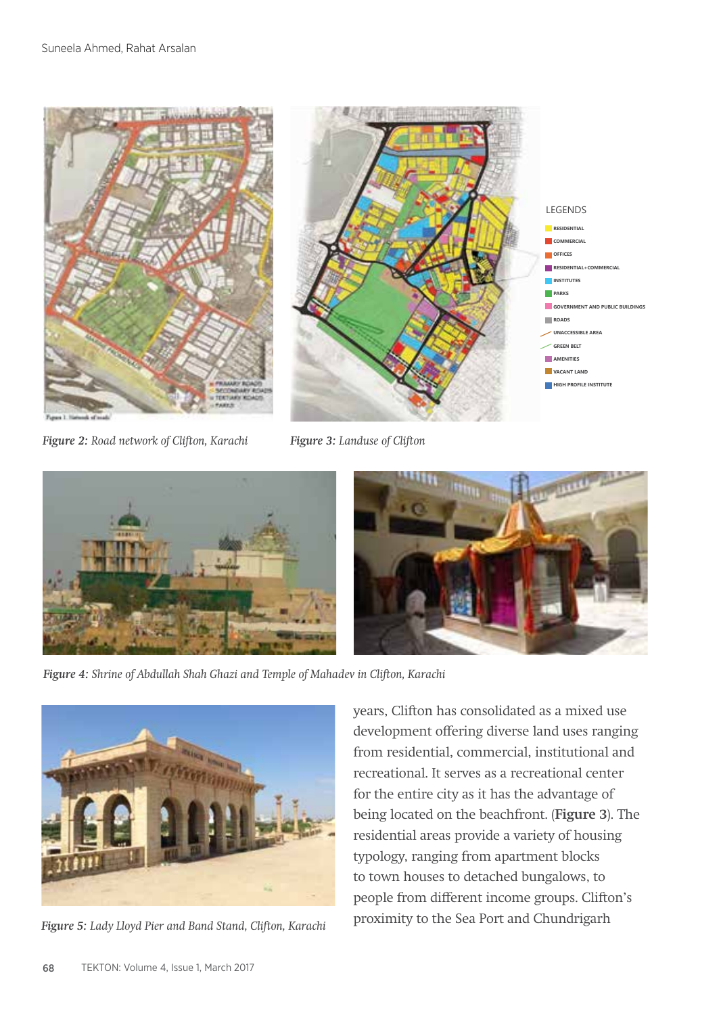

*Figure 2: Road network of Clifton, Karachi*

*Figure 3: Landuse of Clifton*



*Figure 4: Shrine of Abdullah Shah Ghazi and Temple of Mahadev in Clifton, Karachi*



*Figure 5: Lady Lloyd Pier and Band Stand, Clifton, Karachi*

years, Clifton has consolidated as a mixed use development offering diverse land uses ranging from residential, commercial, institutional and recreational. It serves as a recreational center for the entire city as it has the advantage of being located on the beachfront. (**Figure 3**). The residential areas provide a variety of housing typology, ranging from apartment blocks to town houses to detached bungalows, to people from different income groups. Clifton's proximity to the Sea Port and Chundrigarh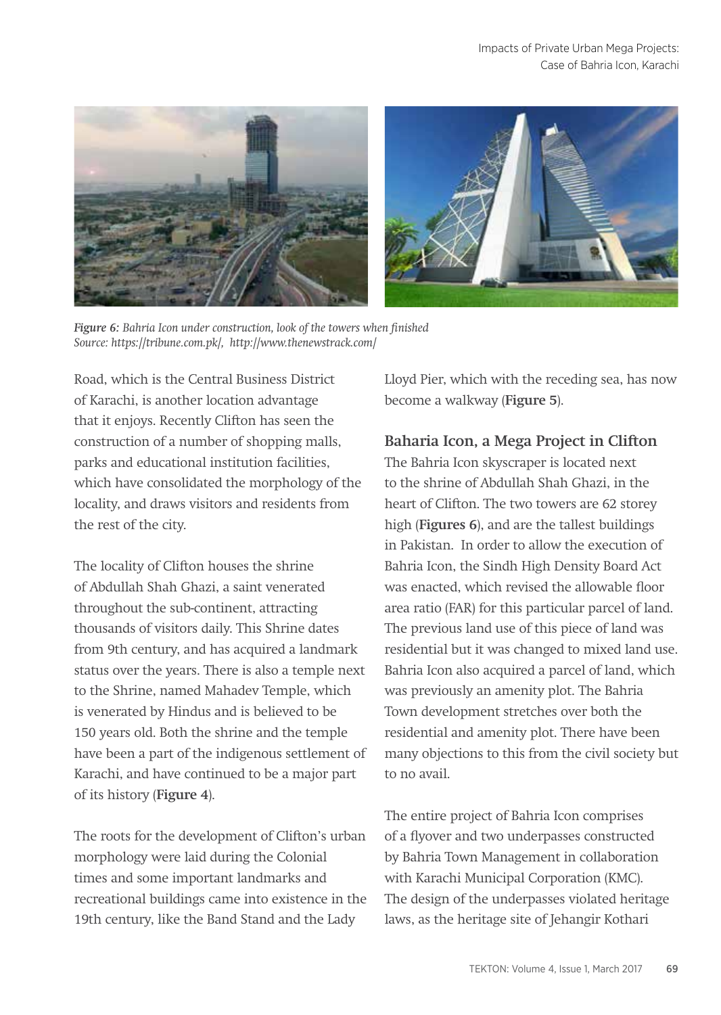

*Figure 6: Bahria Icon under construction, look of the towers when finished Source: https://tribune.com.pk/, http://www.thenewstrack.com/*

Road, which is the Central Business District of Karachi, is another location advantage that it enjoys. Recently Clifton has seen the construction of a number of shopping malls, parks and educational institution facilities, which have consolidated the morphology of the locality, and draws visitors and residents from the rest of the city.

The locality of Clifton houses the shrine of Abdullah Shah Ghazi, a saint venerated throughout the sub-continent, attracting thousands of visitors daily. This Shrine dates from 9th century, and has acquired a landmark status over the years. There is also a temple next to the Shrine, named Mahadev Temple, which is venerated by Hindus and is believed to be 150 years old. Both the shrine and the temple have been a part of the indigenous settlement of Karachi, and have continued to be a major part of its history (**Figure 4**).

The roots for the development of Clifton's urban morphology were laid during the Colonial times and some important landmarks and recreational buildings came into existence in the 19th century, like the Band Stand and the Lady

Lloyd Pier, which with the receding sea, has now become a walkway (**Figure 5**).

# **Baharia Icon, a Mega Project in Clifton**

The Bahria Icon skyscraper is located next to the shrine of Abdullah Shah Ghazi, in the heart of Clifton. The two towers are 62 storey high (**Figures 6**), and are the tallest buildings in Pakistan. In order to allow the execution of Bahria Icon, the Sindh High Density Board Act was enacted, which revised the allowable floor area ratio (FAR) for this particular parcel of land. The previous land use of this piece of land was residential but it was changed to mixed land use. Bahria Icon also acquired a parcel of land, which was previously an amenity plot. The Bahria Town development stretches over both the residential and amenity plot. There have been many objections to this from the civil society but to no avail.

The entire project of Bahria Icon comprises of a flyover and two underpasses constructed by Bahria Town Management in collaboration with Karachi Municipal Corporation (KMC). The design of the underpasses violated heritage laws, as the heritage site of Jehangir Kothari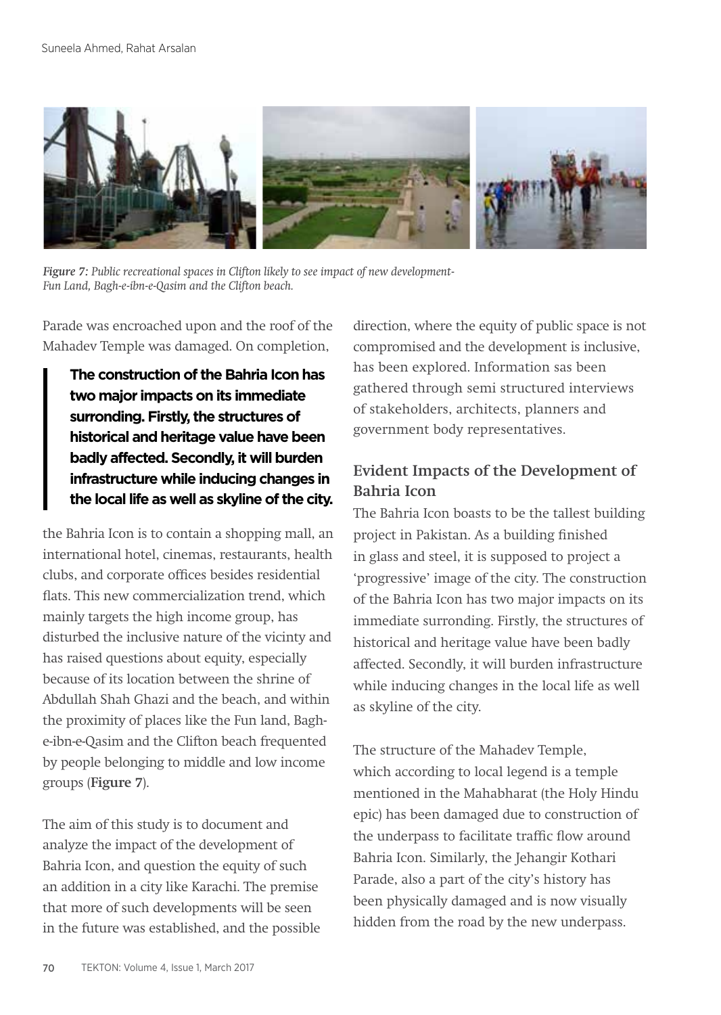

*Figure 7: Public recreational spaces in Clifton likely to see impact of new development-Fun Land, Bagh-e-ibn-e-Qasim and the Clifton beach.*

Parade was encroached upon and the roof of the Mahadev Temple was damaged. On completion,

**The construction of the Bahria Icon has two major impacts on its immediate surronding. Firstly, the structures of historical and heritage value have been badly affected. Secondly, it will burden infrastructure while inducing changes in the local life as well as skyline of the city.**

the Bahria Icon is to contain a shopping mall, an international hotel, cinemas, restaurants, health clubs, and corporate offices besides residential flats. This new commercialization trend, which mainly targets the high income group, has disturbed the inclusive nature of the vicinty and has raised questions about equity, especially because of its location between the shrine of Abdullah Shah Ghazi and the beach, and within the proximity of places like the Fun land, Baghe-ibn-e-Qasim and the Clifton beach frequented by people belonging to middle and low income groups (**Figure 7**).

The aim of this study is to document and analyze the impact of the development of Bahria Icon, and question the equity of such an addition in a city like Karachi. The premise that more of such developments will be seen in the future was established, and the possible direction, where the equity of public space is not compromised and the development is inclusive, has been explored. Information sas been gathered through semi structured interviews of stakeholders, architects, planners and government body representatives.

# **Evident Impacts of the Development of Bahria Icon**

The Bahria Icon boasts to be the tallest building project in Pakistan. As a building finished in glass and steel, it is supposed to project a 'progressive' image of the city. The construction of the Bahria Icon has two major impacts on its immediate surronding. Firstly, the structures of historical and heritage value have been badly affected. Secondly, it will burden infrastructure while inducing changes in the local life as well as skyline of the city.

The structure of the Mahadev Temple, which according to local legend is a temple mentioned in the Mahabharat (the Holy Hindu epic) has been damaged due to construction of the underpass to facilitate traffic flow around Bahria Icon. Similarly, the Jehangir Kothari Parade, also a part of the city's history has been physically damaged and is now visually hidden from the road by the new underpass.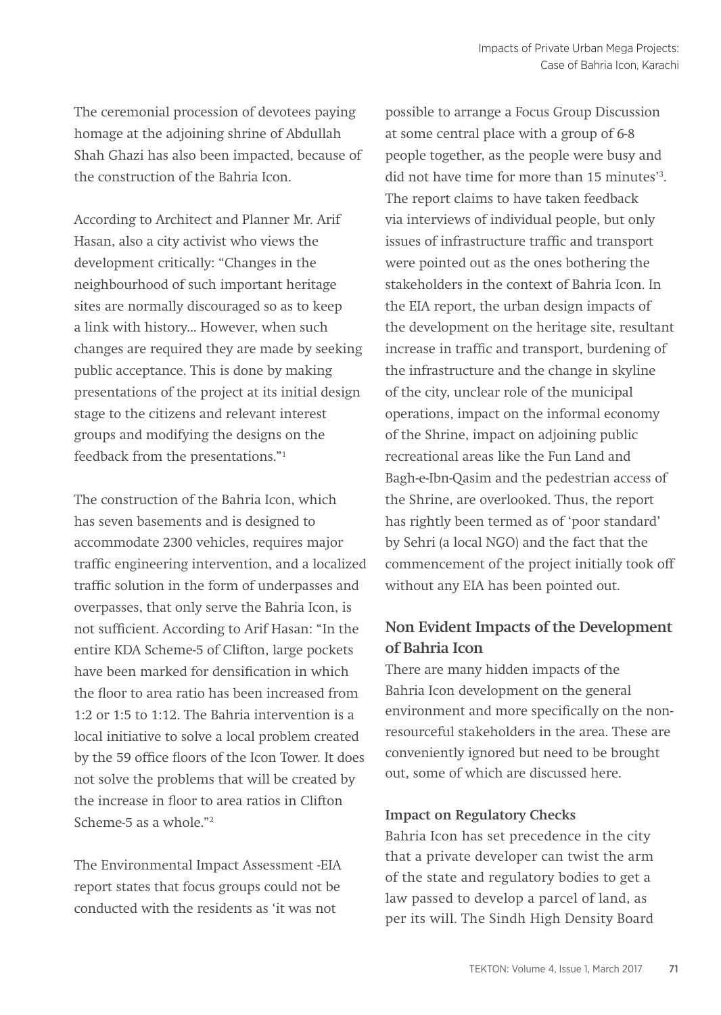The ceremonial procession of devotees paying homage at the adjoining shrine of Abdullah Shah Ghazi has also been impacted, because of the construction of the Bahria Icon.

According to Architect and Planner Mr. Arif Hasan, also a city activist who views the development critically: "Changes in the neighbourhood of such important heritage sites are normally discouraged so as to keep a link with history... However, when such changes are required they are made by seeking public acceptance. This is done by making presentations of the project at its initial design stage to the citizens and relevant interest groups and modifying the designs on the feedback from the presentations."1

The construction of the Bahria Icon, which has seven basements and is designed to accommodate 2300 vehicles, requires major traffic engineering intervention, and a localized traffic solution in the form of underpasses and overpasses, that only serve the Bahria Icon, is not sufficient. According to Arif Hasan: "In the entire KDA Scheme-5 of Clifton, large pockets have been marked for densification in which the floor to area ratio has been increased from 1:2 or 1:5 to 1:12. The Bahria intervention is a local initiative to solve a local problem created by the 59 office floors of the Icon Tower. It does not solve the problems that will be created by the increase in floor to area ratios in Clifton Scheme-5 as a whole."2

The Environmental Impact Assessment -EIA report states that focus groups could not be conducted with the residents as 'it was not

possible to arrange a Focus Group Discussion at some central place with a group of 6-8 people together, as the people were busy and did not have time for more than 15 minutes'3 . The report claims to have taken feedback via interviews of individual people, but only issues of infrastructure traffic and transport were pointed out as the ones bothering the stakeholders in the context of Bahria Icon. In the EIA report, the urban design impacts of the development on the heritage site, resultant increase in traffic and transport, burdening of the infrastructure and the change in skyline of the city, unclear role of the municipal operations, impact on the informal economy of the Shrine, impact on adjoining public recreational areas like the Fun Land and Bagh-e-Ibn-Qasim and the pedestrian access of the Shrine, are overlooked. Thus, the report has rightly been termed as of 'poor standard' by Sehri (a local NGO) and the fact that the commencement of the project initially took off without any EIA has been pointed out.

# **Non Evident Impacts of the Development of Bahria Icon**

There are many hidden impacts of the Bahria Icon development on the general environment and more specifically on the nonresourceful stakeholders in the area. These are conveniently ignored but need to be brought out, some of which are discussed here.

#### **Impact on Regulatory Checks**

Bahria Icon has set precedence in the city that a private developer can twist the arm of the state and regulatory bodies to get a law passed to develop a parcel of land, as per its will. The Sindh High Density Board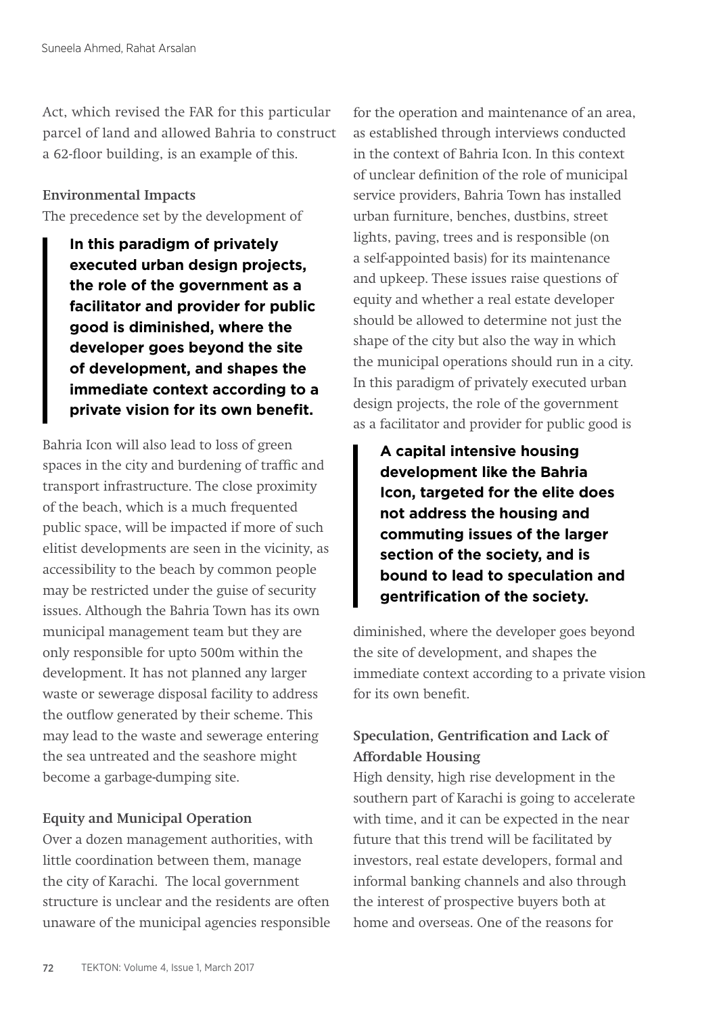Act, which revised the FAR for this particular parcel of land and allowed Bahria to construct a 62-floor building, is an example of this.

#### **Environmental Impacts**

The precedence set by the development of

**In this paradigm of privately executed urban design projects, the role of the government as a facilitator and provider for public good is diminished, where the developer goes beyond the site of development, and shapes the immediate context according to a private vision for its own benefit.**

Bahria Icon will also lead to loss of green spaces in the city and burdening of traffic and transport infrastructure. The close proximity of the beach, which is a much frequented public space, will be impacted if more of such elitist developments are seen in the vicinity, as accessibility to the beach by common people may be restricted under the guise of security issues. Although the Bahria Town has its own municipal management team but they are only responsible for upto 500m within the development. It has not planned any larger waste or sewerage disposal facility to address the outflow generated by their scheme. This may lead to the waste and sewerage entering the sea untreated and the seashore might become a garbage-dumping site.

### **Equity and Municipal Operation**

Over a dozen management authorities, with little coordination between them, manage the city of Karachi. The local government structure is unclear and the residents are often unaware of the municipal agencies responsible for the operation and maintenance of an area, as established through interviews conducted in the context of Bahria Icon. In this context of unclear definition of the role of municipal service providers, Bahria Town has installed urban furniture, benches, dustbins, street lights, paving, trees and is responsible (on a self-appointed basis) for its maintenance and upkeep. These issues raise questions of equity and whether a real estate developer should be allowed to determine not just the shape of the city but also the way in which the municipal operations should run in a city. In this paradigm of privately executed urban design projects, the role of the government as a facilitator and provider for public good is

**A capital intensive housing development like the Bahria Icon, targeted for the elite does not address the housing and commuting issues of the larger section of the society, and is bound to lead to speculation and gentrification of the society.** 

diminished, where the developer goes beyond the site of development, and shapes the immediate context according to a private vision for its own benefit.

# **Speculation, Gentrification and Lack of Affordable Housing**

High density, high rise development in the southern part of Karachi is going to accelerate with time, and it can be expected in the near future that this trend will be facilitated by investors, real estate developers, formal and informal banking channels and also through the interest of prospective buyers both at home and overseas. One of the reasons for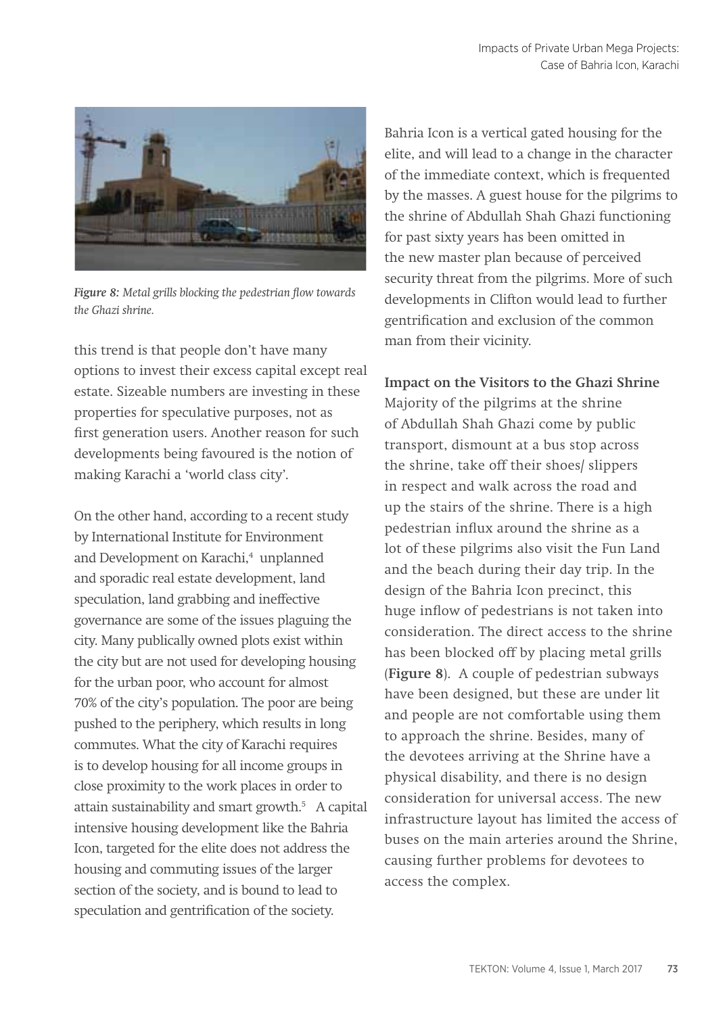

*Figure 8: Metal grills blocking the pedestrian flow towards the Ghazi shrine.*

this trend is that people don't have many options to invest their excess capital except real estate. Sizeable numbers are investing in these properties for speculative purposes, not as first generation users. Another reason for such developments being favoured is the notion of making Karachi a 'world class city'.

On the other hand, according to a recent study by International Institute for Environment and Development on Karachi,<sup>4</sup> unplanned and sporadic real estate development, land speculation, land grabbing and ineffective governance are some of the issues plaguing the city. Many publically owned plots exist within the city but are not used for developing housing for the urban poor, who account for almost 70% of the city's population. The poor are being pushed to the periphery, which results in long commutes. What the city of Karachi requires is to develop housing for all income groups in close proximity to the work places in order to attain sustainability and smart growth.5 A capital intensive housing development like the Bahria Icon, targeted for the elite does not address the housing and commuting issues of the larger section of the society, and is bound to lead to speculation and gentrification of the society.

Bahria Icon is a vertical gated housing for the elite, and will lead to a change in the character of the immediate context, which is frequented by the masses. A guest house for the pilgrims to the shrine of Abdullah Shah Ghazi functioning for past sixty years has been omitted in the new master plan because of perceived security threat from the pilgrims. More of such developments in Clifton would lead to further gentrification and exclusion of the common man from their vicinity.

**Impact on the Visitors to the Ghazi Shrine** Majority of the pilgrims at the shrine of Abdullah Shah Ghazi come by public transport, dismount at a bus stop across the shrine, take off their shoes/ slippers in respect and walk across the road and up the stairs of the shrine. There is a high pedestrian influx around the shrine as a lot of these pilgrims also visit the Fun Land and the beach during their day trip. In the design of the Bahria Icon precinct, this huge inflow of pedestrians is not taken into consideration. The direct access to the shrine has been blocked off by placing metal grills (**Figure 8**). A couple of pedestrian subways have been designed, but these are under lit and people are not comfortable using them to approach the shrine. Besides, many of the devotees arriving at the Shrine have a physical disability, and there is no design consideration for universal access. The new infrastructure layout has limited the access of buses on the main arteries around the Shrine, causing further problems for devotees to access the complex.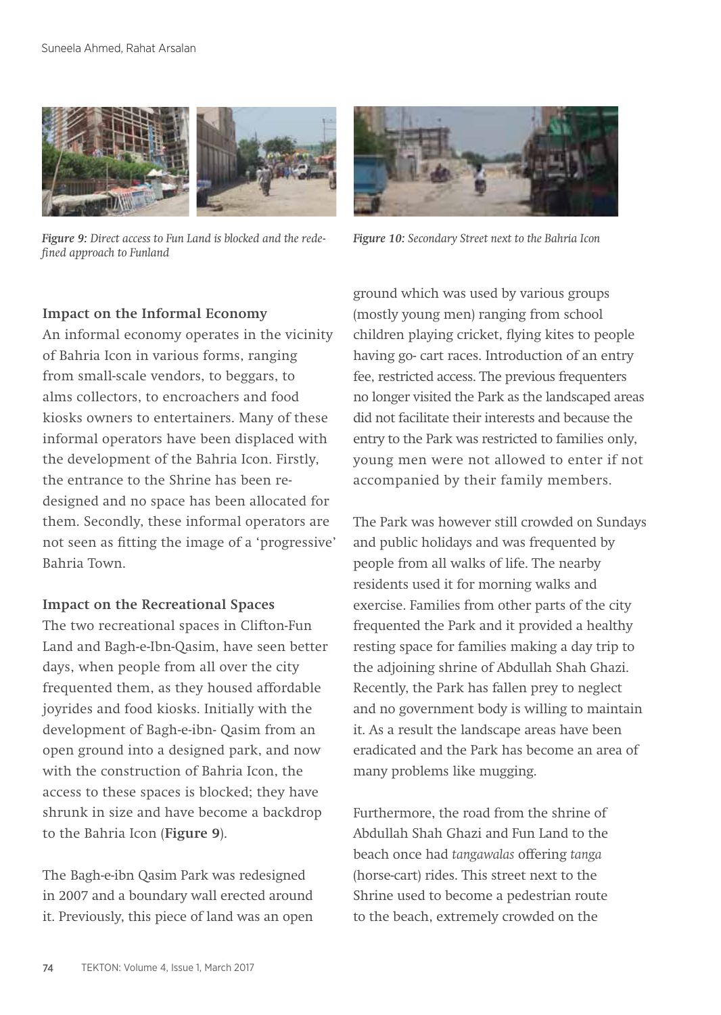

*Figure 9: Direct access to Fun Land is blocked and the redefined approach to Funland*



*Figure 10: Secondary Street next to the Bahria Icon*

### **Impact on the Informal Economy**

An informal economy operates in the vicinity of Bahria Icon in various forms, ranging from small-scale vendors, to beggars, to alms collectors, to encroachers and food kiosks owners to entertainers. Many of these informal operators have been displaced with the development of the Bahria Icon. Firstly, the entrance to the Shrine has been redesigned and no space has been allocated for them. Secondly, these informal operators are not seen as fitting the image of a 'progressive' Bahria Town.

### **Impact on the Recreational Spaces**

The two recreational spaces in Clifton-Fun Land and Bagh-e-Ibn-Qasim, have seen better days, when people from all over the city frequented them, as they housed affordable joyrides and food kiosks. Initially with the development of Bagh-e-ibn- Qasim from an open ground into a designed park, and now with the construction of Bahria Icon, the access to these spaces is blocked; they have shrunk in size and have become a backdrop to the Bahria Icon (**Figure 9**).

The Bagh-e-ibn Qasim Park was redesigned in 2007 and a boundary wall erected around it. Previously, this piece of land was an open

ground which was used by various groups (mostly young men) ranging from school children playing cricket, flying kites to people having go- cart races. Introduction of an entry fee, restricted access. The previous frequenters no longer visited the Park as the landscaped areas did not facilitate their interests and because the entry to the Park was restricted to families only, young men were not allowed to enter if not accompanied by their family members.

The Park was however still crowded on Sundays and public holidays and was frequented by people from all walks of life. The nearby residents used it for morning walks and exercise. Families from other parts of the city frequented the Park and it provided a healthy resting space for families making a day trip to the adjoining shrine of Abdullah Shah Ghazi. Recently, the Park has fallen prey to neglect and no government body is willing to maintain it. As a result the landscape areas have been eradicated and the Park has become an area of many problems like mugging.

Furthermore, the road from the shrine of Abdullah Shah Ghazi and Fun Land to the beach once had *tangawalas* offering *tanga* (horse-cart) rides. This street next to the Shrine used to become a pedestrian route to the beach, extremely crowded on the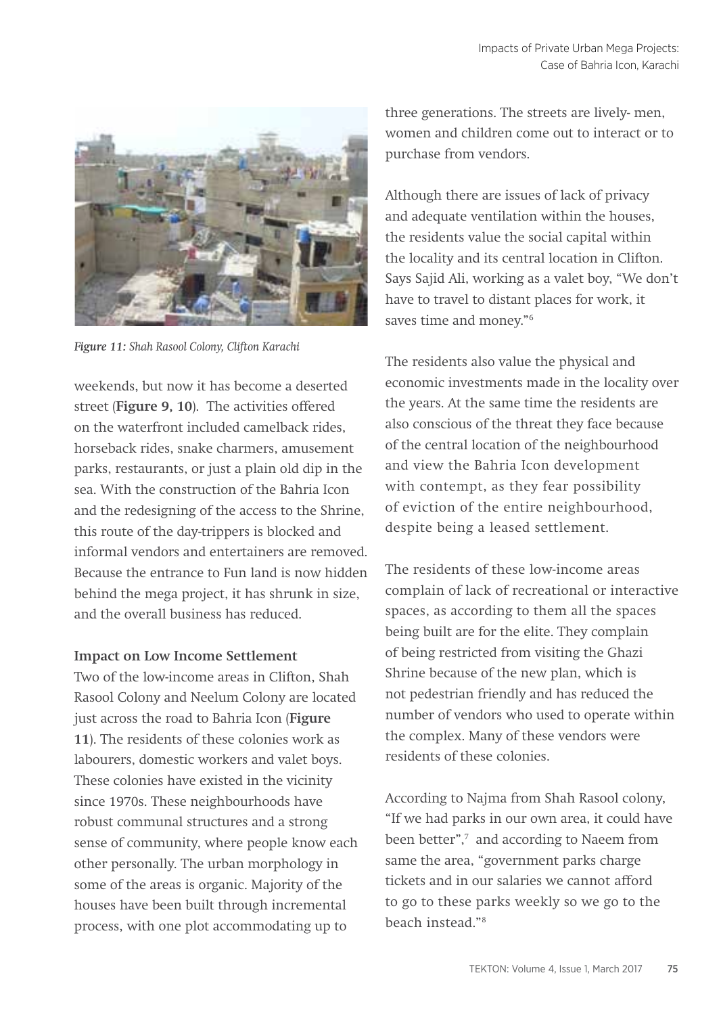

*Figure 11: Shah Rasool Colony, Clifton Karachi* 

weekends, but now it has become a deserted street (**Figure 9, 10**). The activities offered on the waterfront included camelback rides, horseback rides, snake charmers, amusement parks, restaurants, or just a plain old dip in the sea. With the construction of the Bahria Icon and the redesigning of the access to the Shrine, this route of the day-trippers is blocked and informal vendors and entertainers are removed. Because the entrance to Fun land is now hidden behind the mega project, it has shrunk in size, and the overall business has reduced.

#### **Impact on Low Income Settlement**

Two of the low-income areas in Clifton, Shah Rasool Colony and Neelum Colony are located just across the road to Bahria Icon (**Figure 11**). The residents of these colonies work as labourers, domestic workers and valet boys. These colonies have existed in the vicinity since 1970s. These neighbourhoods have robust communal structures and a strong sense of community, where people know each other personally. The urban morphology in some of the areas is organic. Majority of the houses have been built through incremental process, with one plot accommodating up to

three generations. The streets are lively- men, women and children come out to interact or to purchase from vendors.

Although there are issues of lack of privacy and adequate ventilation within the houses, the residents value the social capital within the locality and its central location in Clifton. Says Sajid Ali, working as a valet boy, "We don't have to travel to distant places for work, it saves time and money."<sup>6</sup>

The residents also value the physical and economic investments made in the locality over the years. At the same time the residents are also conscious of the threat they face because of the central location of the neighbourhood and view the Bahria Icon development with contempt, as they fear possibility of eviction of the entire neighbourhood, despite being a leased settlement.

The residents of these low-income areas complain of lack of recreational or interactive spaces, as according to them all the spaces being built are for the elite. They complain of being restricted from visiting the Ghazi Shrine because of the new plan, which is not pedestrian friendly and has reduced the number of vendors who used to operate within the complex. Many of these vendors were residents of these colonies.

According to Najma from Shah Rasool colony, "If we had parks in our own area, it could have been better",<sup>7</sup> and according to Naeem from same the area, "government parks charge tickets and in our salaries we cannot afford to go to these parks weekly so we go to the beach instead."8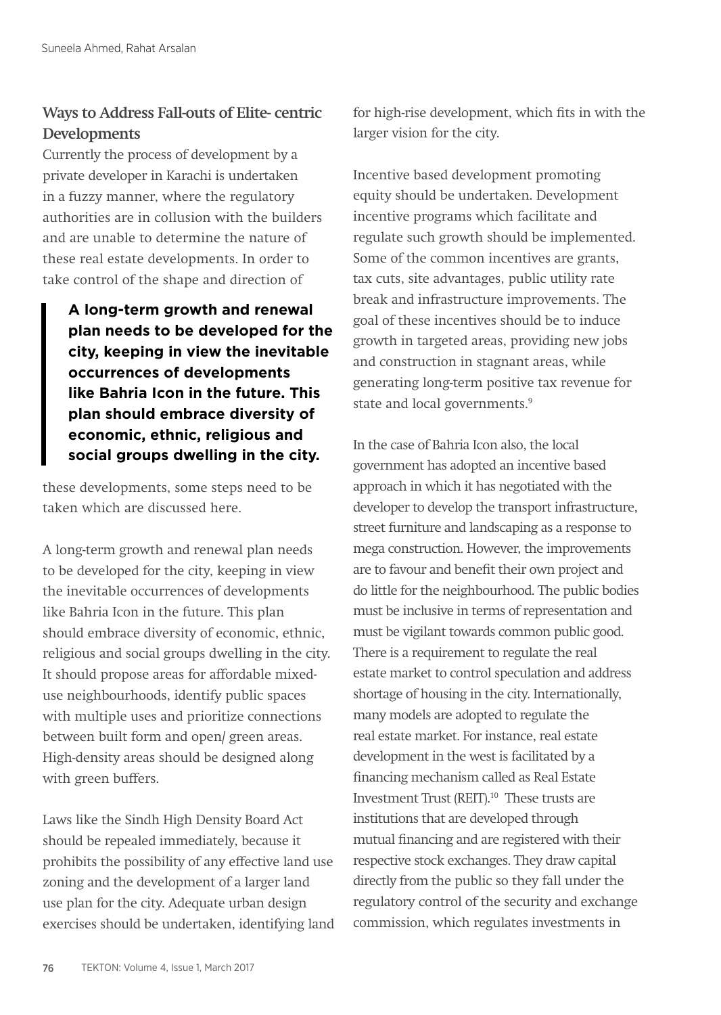# **Ways to Address Fall-outs of Elite- centric Developments**

Currently the process of development by a private developer in Karachi is undertaken in a fuzzy manner, where the regulatory authorities are in collusion with the builders and are unable to determine the nature of these real estate developments. In order to take control of the shape and direction of

**A long-term growth and renewal plan needs to be developed for the city, keeping in view the inevitable occurrences of developments like Bahria Icon in the future. This plan should embrace diversity of economic, ethnic, religious and social groups dwelling in the city.** 

these developments, some steps need to be taken which are discussed here.

A long-term growth and renewal plan needs to be developed for the city, keeping in view the inevitable occurrences of developments like Bahria Icon in the future. This plan should embrace diversity of economic, ethnic, religious and social groups dwelling in the city. It should propose areas for affordable mixeduse neighbourhoods, identify public spaces with multiple uses and prioritize connections between built form and open/ green areas. High-density areas should be designed along with green buffers.

Laws like the Sindh High Density Board Act should be repealed immediately, because it prohibits the possibility of any effective land use zoning and the development of a larger land use plan for the city. Adequate urban design exercises should be undertaken, identifying land for high-rise development, which fits in with the larger vision for the city.

Incentive based development promoting equity should be undertaken. Development incentive programs which facilitate and regulate such growth should be implemented. Some of the common incentives are grants, tax cuts, site advantages, public utility rate break and infrastructure improvements. The goal of these incentives should be to induce growth in targeted areas, providing new jobs and construction in stagnant areas, while generating long-term positive tax revenue for state and local governments.<sup>9</sup>

In the case of Bahria Icon also, the local government has adopted an incentive based approach in which it has negotiated with the developer to develop the transport infrastructure, street furniture and landscaping as a response to mega construction. However, the improvements are to favour and benefit their own project and do little for the neighbourhood. The public bodies must be inclusive in terms of representation and must be vigilant towards common public good. There is a requirement to regulate the real estate market to control speculation and address shortage of housing in the city. Internationally, many models are adopted to regulate the real estate market. For instance, real estate development in the west is facilitated by a financing mechanism called as Real Estate Investment Trust (REIT).10 These trusts are institutions that are developed through mutual financing and are registered with their respective stock exchanges. They draw capital directly from the public so they fall under the regulatory control of the security and exchange commission, which regulates investments in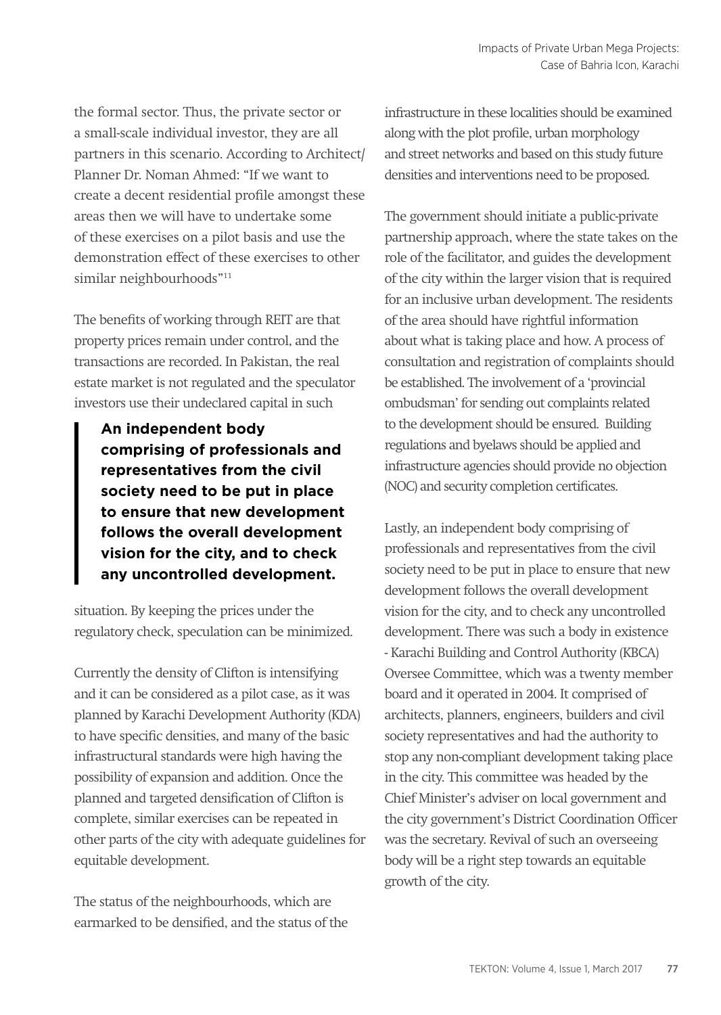the formal sector. Thus, the private sector or a small-scale individual investor, they are all partners in this scenario. According to Architect/ Planner Dr. Noman Ahmed: "If we want to create a decent residential profile amongst these areas then we will have to undertake some of these exercises on a pilot basis and use the demonstration effect of these exercises to other similar neighbourhoods"11

The benefits of working through REIT are that property prices remain under control, and the transactions are recorded. In Pakistan, the real estate market is not regulated and the speculator investors use their undeclared capital in such

**An independent body comprising of professionals and representatives from the civil society need to be put in place to ensure that new development follows the overall development vision for the city, and to check any uncontrolled development.**

situation. By keeping the prices under the regulatory check, speculation can be minimized.

Currently the density of Clifton is intensifying and it can be considered as a pilot case, as it was planned by Karachi Development Authority (KDA) to have specific densities, and many of the basic infrastructural standards were high having the possibility of expansion and addition. Once the planned and targeted densification of Clifton is complete, similar exercises can be repeated in other parts of the city with adequate guidelines for equitable development.

The status of the neighbourhoods, which are earmarked to be densified, and the status of the infrastructure in these localities should be examined along with the plot profile, urban morphology and street networks and based on this study future densities and interventions need to be proposed.

The government should initiate a public-private partnership approach, where the state takes on the role of the facilitator, and guides the development of the city within the larger vision that is required for an inclusive urban development. The residents of the area should have rightful information about what is taking place and how. A process of consultation and registration of complaints should be established. The involvement of a 'provincial ombudsman' for sending out complaints related to the development should be ensured. Building regulations and byelaws should be applied and infrastructure agencies should provide no objection (NOC) and security completion certificates.

Lastly, an independent body comprising of professionals and representatives from the civil society need to be put in place to ensure that new development follows the overall development vision for the city, and to check any uncontrolled development. There was such a body in existence - Karachi Building and Control Authority (KBCA) Oversee Committee, which was a twenty member board and it operated in 2004. It comprised of architects, planners, engineers, builders and civil society representatives and had the authority to stop any non-compliant development taking place in the city. This committee was headed by the Chief Minister's adviser on local government and the city government's District Coordination Officer was the secretary. Revival of such an overseeing body will be a right step towards an equitable growth of the city.